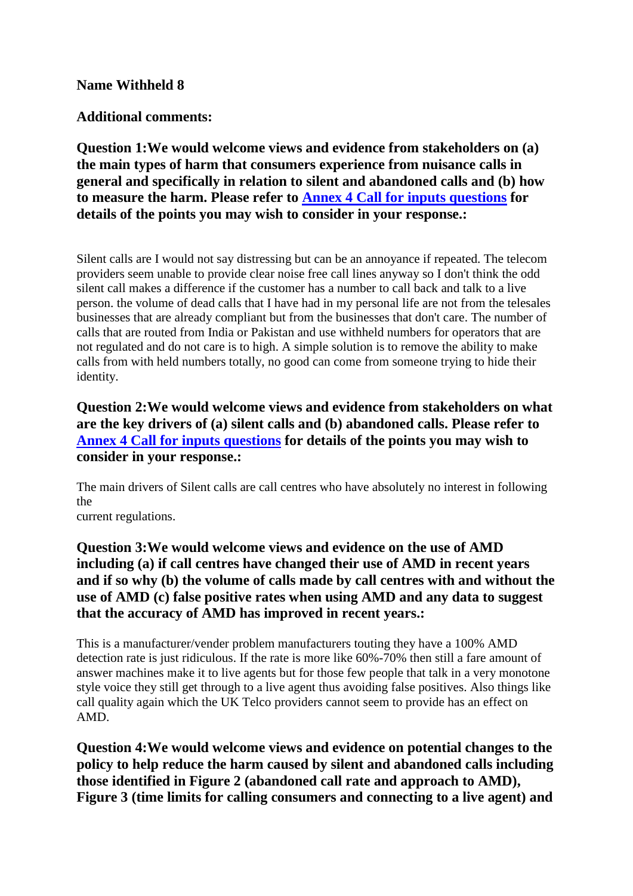#### **Name Withheld 8**

#### **Additional comments:**

**Question 1:We would welcome views and evidence from stakeholders on (a) the main types of harm that consumers experience from nuisance calls in general and specifically in relation to silent and abandoned calls and (b) how to measure the harm. Please refer to Annex 4 Call for inputs questions for details of the points you may wish to consider in your response.:**

Silent calls are I would not say distressing but can be an annoyance if repeated. The telecom providers seem unable to provide clear noise free call lines anyway so I don't think the odd silent call makes a difference if the customer has a number to call back and talk to a live person. the volume of dead calls that I have had in my personal life are not from the telesales businesses that are already compliant but from the businesses that don't care. The number of calls that are routed from India or Pakistan and use withheld numbers for operators that are not regulated and do not care is to high. A simple solution is to remove the ability to make calls from with held numbers totally, no good can come from someone trying to hide their identity.

# **Question 2:We would welcome views and evidence from stakeholders on what are the key drivers of (a) silent calls and (b) abandoned calls. Please refer to Annex 4 Call for inputs questions for details of the points you may wish to consider in your response.:**

The main drivers of Silent calls are call centres who have absolutely no interest in following the

current regulations.

## **Question 3:We would welcome views and evidence on the use of AMD including (a) if call centres have changed their use of AMD in recent years and if so why (b) the volume of calls made by call centres with and without the use of AMD (c) false positive rates when using AMD and any data to suggest that the accuracy of AMD has improved in recent years.:**

This is a manufacturer/vender problem manufacturers touting they have a 100% AMD detection rate is just ridiculous. If the rate is more like 60%-70% then still a fare amount of answer machines make it to live agents but for those few people that talk in a very monotone style voice they still get through to a live agent thus avoiding false positives. Also things like call quality again which the UK Telco providers cannot seem to provide has an effect on AMD.

**Question 4:We would welcome views and evidence on potential changes to the policy to help reduce the harm caused by silent and abandoned calls including those identified in Figure 2 (abandoned call rate and approach to AMD), Figure 3 (time limits for calling consumers and connecting to a live agent) and**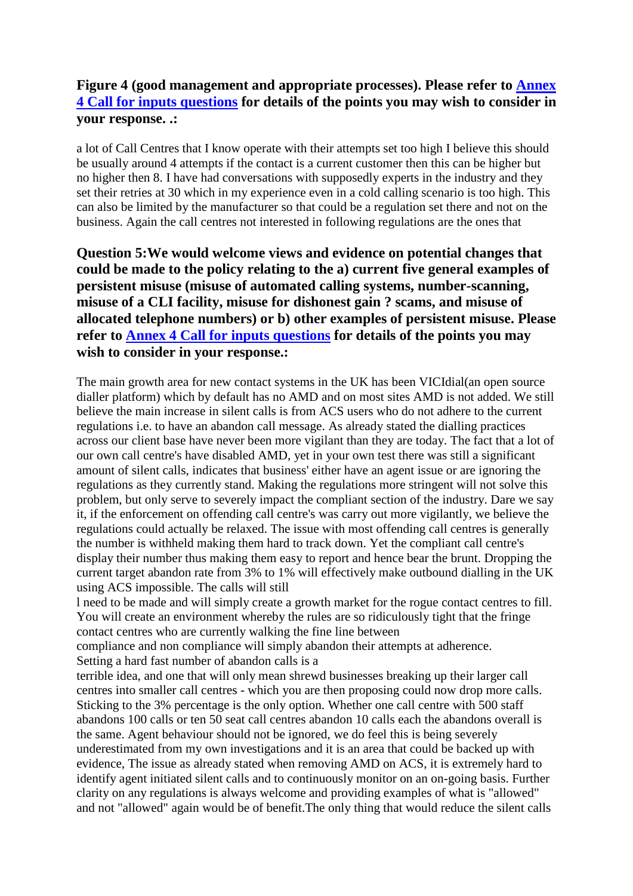## **Figure 4 (good management and appropriate processes). Please refer to Annex 4 Call for inputs questions for details of the points you may wish to consider in your response. .:**

a lot of Call Centres that I know operate with their attempts set too high I believe this should be usually around 4 attempts if the contact is a current customer then this can be higher but no higher then 8. I have had conversations with supposedly experts in the industry and they set their retries at 30 which in my experience even in a cold calling scenario is too high. This can also be limited by the manufacturer so that could be a regulation set there and not on the business. Again the call centres not interested in following regulations are the ones that

**Question 5:We would welcome views and evidence on potential changes that could be made to the policy relating to the a) current five general examples of persistent misuse (misuse of automated calling systems, number-scanning, misuse of a CLI facility, misuse for dishonest gain ? scams, and misuse of allocated telephone numbers) or b) other examples of persistent misuse. Please refer to Annex 4 Call for inputs questions for details of the points you may wish to consider in your response.:**

The main growth area for new contact systems in the UK has been VICIdial(an open source dialler platform) which by default has no AMD and on most sites AMD is not added. We still believe the main increase in silent calls is from ACS users who do not adhere to the current regulations i.e. to have an abandon call message. As already stated the dialling practices across our client base have never been more vigilant than they are today. The fact that a lot of our own call centre's have disabled AMD, yet in your own test there was still a significant amount of silent calls, indicates that business' either have an agent issue or are ignoring the regulations as they currently stand. Making the regulations more stringent will not solve this problem, but only serve to severely impact the compliant section of the industry. Dare we say it, if the enforcement on offending call centre's was carry out more vigilantly, we believe the regulations could actually be relaxed. The issue with most offending call centres is generally the number is withheld making them hard to track down. Yet the compliant call centre's display their number thus making them easy to report and hence bear the brunt. Dropping the current target abandon rate from 3% to 1% will effectively make outbound dialling in the UK using ACS impossible. The calls will still

l need to be made and will simply create a growth market for the rogue contact centres to fill. You will create an environment whereby the rules are so ridiculously tight that the fringe contact centres who are currently walking the fine line between

compliance and non compliance will simply abandon their attempts at adherence. Setting a hard fast number of abandon calls is a

terrible idea, and one that will only mean shrewd businesses breaking up their larger call centres into smaller call centres - which you are then proposing could now drop more calls. Sticking to the 3% percentage is the only option. Whether one call centre with 500 staff abandons 100 calls or ten 50 seat call centres abandon 10 calls each the abandons overall is the same. Agent behaviour should not be ignored, we do feel this is being severely underestimated from my own investigations and it is an area that could be backed up with evidence, The issue as already stated when removing AMD on ACS, it is extremely hard to identify agent initiated silent calls and to continuously monitor on an on-going basis. Further clarity on any regulations is always welcome and providing examples of what is "allowed" and not "allowed" again would be of benefit.The only thing that would reduce the silent calls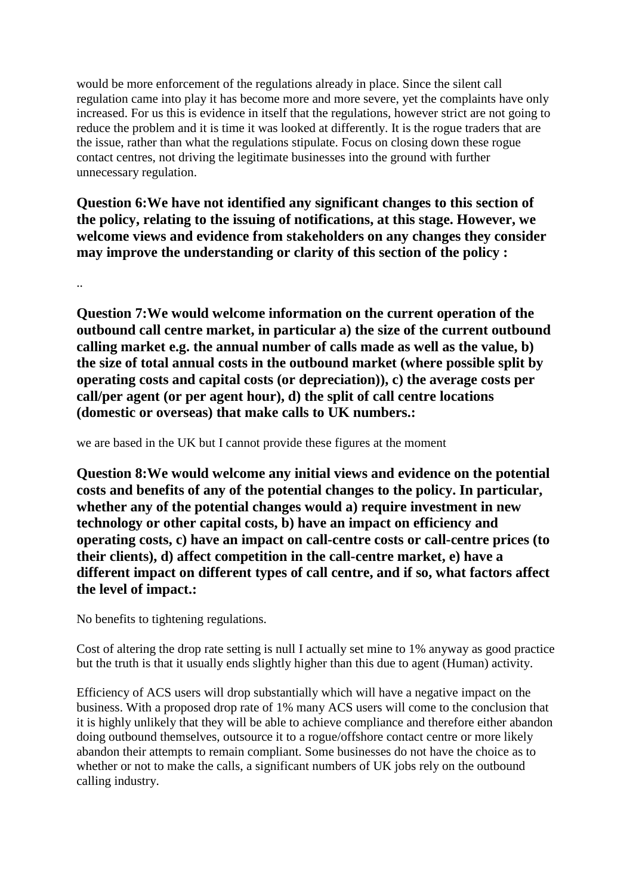would be more enforcement of the regulations already in place. Since the silent call regulation came into play it has become more and more severe, yet the complaints have only increased. For us this is evidence in itself that the regulations, however strict are not going to reduce the problem and it is time it was looked at differently. It is the rogue traders that are the issue, rather than what the regulations stipulate. Focus on closing down these rogue contact centres, not driving the legitimate businesses into the ground with further unnecessary regulation.

**Question 6:We have not identified any significant changes to this section of the policy, relating to the issuing of notifications, at this stage. However, we welcome views and evidence from stakeholders on any changes they consider may improve the understanding or clarity of this section of the policy :**

..

**Question 7:We would welcome information on the current operation of the outbound call centre market, in particular a) the size of the current outbound calling market e.g. the annual number of calls made as well as the value, b) the size of total annual costs in the outbound market (where possible split by operating costs and capital costs (or depreciation)), c) the average costs per call/per agent (or per agent hour), d) the split of call centre locations (domestic or overseas) that make calls to UK numbers.:**

we are based in the UK but I cannot provide these figures at the moment

**Question 8:We would welcome any initial views and evidence on the potential costs and benefits of any of the potential changes to the policy. In particular, whether any of the potential changes would a) require investment in new technology or other capital costs, b) have an impact on efficiency and operating costs, c) have an impact on call-centre costs or call-centre prices (to their clients), d) affect competition in the call-centre market, e) have a different impact on different types of call centre, and if so, what factors affect the level of impact.:**

No benefits to tightening regulations.

Cost of altering the drop rate setting is null I actually set mine to 1% anyway as good practice but the truth is that it usually ends slightly higher than this due to agent (Human) activity.

Efficiency of ACS users will drop substantially which will have a negative impact on the business. With a proposed drop rate of 1% many ACS users will come to the conclusion that it is highly unlikely that they will be able to achieve compliance and therefore either abandon doing outbound themselves, outsource it to a rogue/offshore contact centre or more likely abandon their attempts to remain compliant. Some businesses do not have the choice as to whether or not to make the calls, a significant numbers of UK jobs rely on the outbound calling industry.